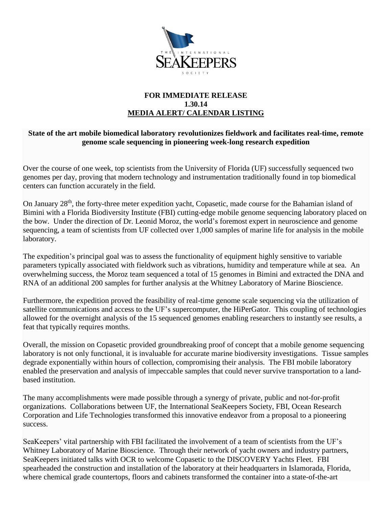

## **FOR IMMEDIATE RELEASE 1.30.14 MEDIA ALERT/ CALENDAR LISTING**

## **State of the art mobile biomedical laboratory revolutionizes fieldwork and facilitates real-time, remote genome scale sequencing in pioneering week-long research expedition**

Over the course of one week, top scientists from the University of Florida (UF) successfully sequenced two genomes per day, proving that modern technology and instrumentation traditionally found in top biomedical centers can function accurately in the field.

On January 28<sup>th</sup>, the forty-three meter expedition yacht, Copasetic, made course for the Bahamian island of Bimini with a Florida Biodiversity Institute (FBI) cutting-edge mobile genome sequencing laboratory placed on the bow. Under the direction of Dr. Leonid Moroz, the world's foremost expert in neuroscience and genome sequencing, a team of scientists from UF collected over 1,000 samples of marine life for analysis in the mobile laboratory.

The expedition's principal goal was to assess the functionality of equipment highly sensitive to variable parameters typically associated with fieldwork such as vibrations, humidity and temperature while at sea. An overwhelming success, the Moroz team sequenced a total of 15 genomes in Bimini and extracted the DNA and RNA of an additional 200 samples for further analysis at the Whitney Laboratory of Marine Bioscience.

Furthermore, the expedition proved the feasibility of real-time genome scale sequencing via the utilization of satellite communications and access to the UF's supercomputer, the HiPerGator. This coupling of technologies allowed for the overnight analysis of the 15 sequenced genomes enabling researchers to instantly see results, a feat that typically requires months.

Overall, the mission on Copasetic provided groundbreaking proof of concept that a mobile genome sequencing laboratory is not only functional, it is invaluable for accurate marine biodiversity investigations. Tissue samples degrade exponentially within hours of collection, compromising their analysis. The FBI mobile laboratory enabled the preservation and analysis of impeccable samples that could never survive transportation to a landbased institution.

The many accomplishments were made possible through a synergy of private, public and not-for-profit organizations. Collaborations between UF, the International SeaKeepers Society, FBI, Ocean Research Corporation and Life Technologies transformed this innovative endeavor from a proposal to a pioneering success.

SeaKeepers' vital partnership with FBI facilitated the involvement of a team of scientists from the UF's Whitney Laboratory of Marine Bioscience. Through their network of yacht owners and industry partners, SeaKeepers initiated talks with OCR to welcome Copasetic to the DISCOVERY Yachts Fleet. FBI spearheaded the construction and installation of the laboratory at their headquarters in Islamorada, Florida, where chemical grade countertops, floors and cabinets transformed the container into a state-of-the-art